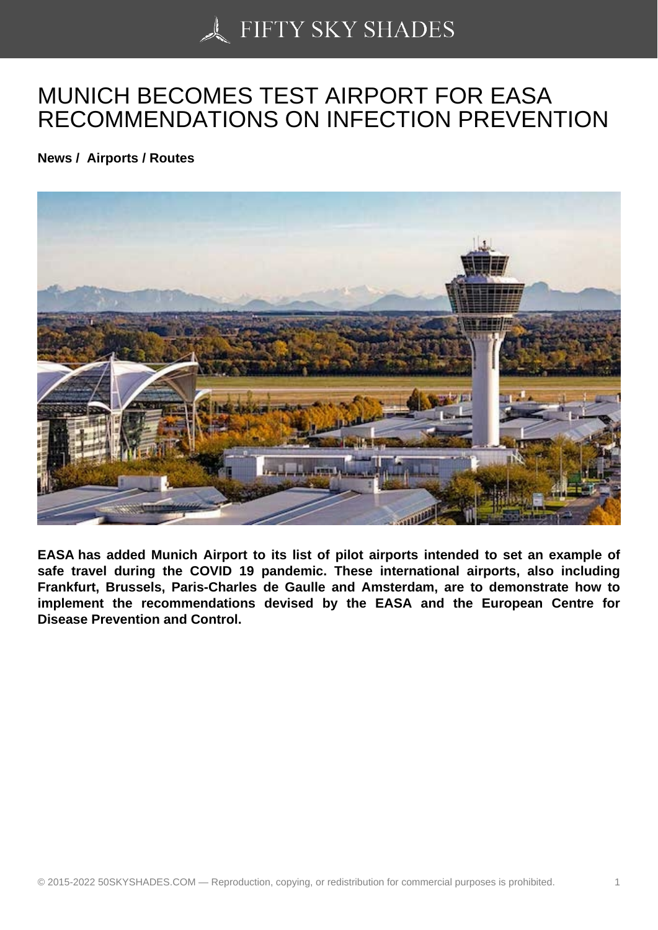## [MUNICH BECOMES T](https://50skyshades.com)EST AIRPORT FOR EASA RECOMMENDATIONS ON INFECTION PREVENTION

News / Airports / Routes

EASA has added Munich Airport to its list of pilot airports intended to set an example of safe travel during the COVID 19 pandemic. These international airports, also including Frankfurt, Brussels, Paris-Charles de Gaulle and Amsterdam, are to demonstrate how to implement the recommendations devised by the EASA and the European Centre for Disease Prevention and Control.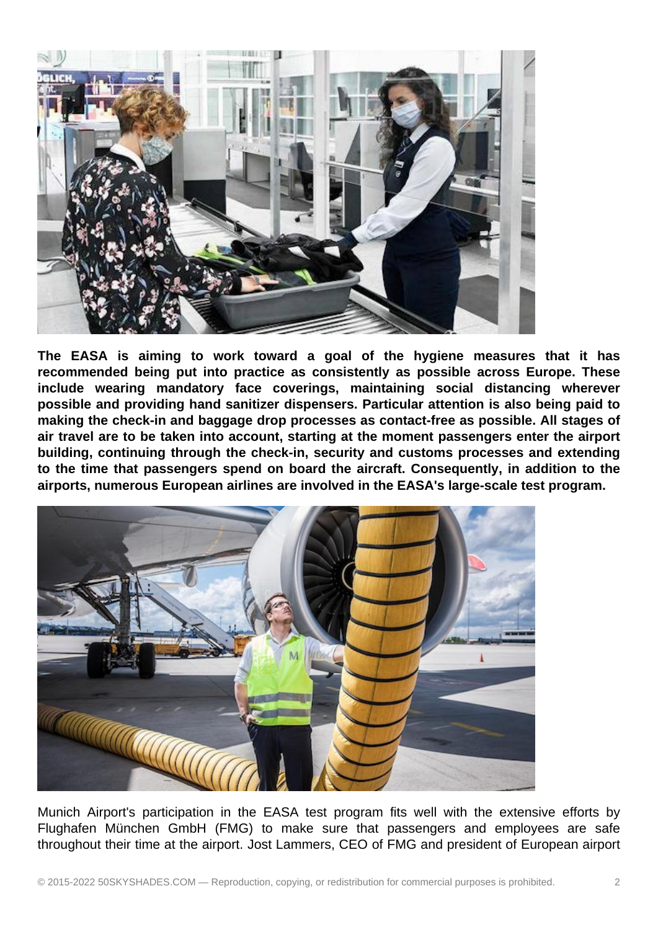

**The EASA is aiming to work toward a goal of the hygiene measures that it has recommended being put into practice as consistently as possible across Europe. These include wearing mandatory face coverings, maintaining social distancing wherever possible and providing hand sanitizer dispensers. Particular attention is also being paid to making the check-in and baggage drop processes as contact-free as possible. All stages of air travel are to be taken into account, starting at the moment passengers enter the airport building, continuing through the check-in, security and customs processes and extending to the time that passengers spend on board the aircraft. Consequently, in addition to the airports, numerous European airlines are involved in the EASA's large-scale test program.**



Munich Airport's participation in the EASA test program fits well with the extensive efforts by Flughafen München GmbH (FMG) to make sure that passengers and employees are safe throughout their time at the airport. Jost Lammers, CEO of FMG and president of European airport